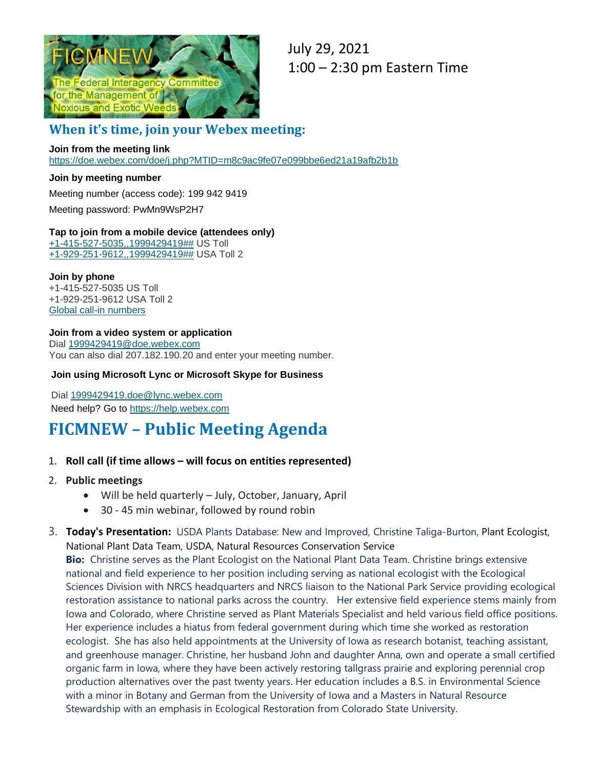

July 29, 2021 1:00 – 2:30 pm Eastern Time

## **When it's time, join your Webex meeting:**

#### **Join from the meeting link**

[https://doe.webex.com/doe/j.php?MTID=m8c9ac9fe07e099bbe6ed21a19afb2b1b](https://gcc02.safelinks.protection.outlook.com/?url=https%3A%2F%2Fdoe.webex.com%2Fdoe%2Fj.php%3FMTID%3Dm8c9ac9fe07e099bbe6ed21a19afb2b1b&data=04%7C01%7Cterri_hogan%40nps.gov%7Cfb3c7eb1dab049e1611908d936788efe%7C0693b5ba4b184d7b9341f32f400a5494%7C0%7C0%7C637600713698648929%7CUnknown%7CTWFpbGZsb3d8eyJWIjoiMC4wLjAwMDAiLCJQIjoiV2luMzIiLCJBTiI6Ik1haWwiLCJXVCI6Mn0%3D%7C1000&sdata=XzrofP147grKI9i9rUUbDjmoqxsI%2Bms3blbZEq9YbFA%3D&reserved=0)

#### **Join by meeting number**

Meeting number (access code): 199 942 9419 Meeting password: PwMn9WsP2H7

#### **Tap to join from a mobile device (attendees only)** [+1-415-527-5035,,1999429419##](tel:%2B1-415-527-5035,,*01*1999429419%23%23*01*) US Toll [+1-929-251-9612,,1999429419##](tel:%2B1-929-251-9612,,*01*1999429419%23%23*01*) USA Toll 2

#### **Join by phone**

+1-415-527-5035 US Toll +1-929-251-9612 USA Toll 2 Global call-in [numbers](https://gcc02.safelinks.protection.outlook.com/?url=https%3A%2F%2Fdoe.webex.com%2Fdoe%2Fglobalcallin.php%3FMTID%3Dmd53018f5828c8398df0658704b3fc323&data=04%7C01%7Cterri_hogan%40nps.gov%7Cfb3c7eb1dab049e1611908d936788efe%7C0693b5ba4b184d7b9341f32f400a5494%7C0%7C0%7C637600713698648929%7CUnknown%7CTWFpbGZsb3d8eyJWIjoiMC4wLjAwMDAiLCJQIjoiV2luMzIiLCJBTiI6Ik1haWwiLCJXVCI6Mn0%3D%7C1000&sdata=xm%2FnAVHtqTdu1YMQVYtHR5dJoflXydPClwNXspvFwEw%3D&reserved=0)

#### **Join from a video system or application**

Dial [1999429419@doe.webex.com](sip:1999429419@doe.webex.com) You can also dial 207.182.190.20 and enter your meeting number.

#### **Join using Microsoft Lync or Microsoft Skype for Business**

Dial [1999429419.doe@lync.webex.com](sip:1999429419.doe@lync.webex.com) Need help? Go to [https://help.webex.com](https://gcc02.safelinks.protection.outlook.com/?url=https%3A%2F%2Fhelp.webex.com%2F&data=04%7C01%7Cterri_hogan%40nps.gov%7Cfb3c7eb1dab049e1611908d936788efe%7C0693b5ba4b184d7b9341f32f400a5494%7C0%7C0%7C637600713698658886%7CUnknown%7CTWFpbGZsb3d8eyJWIjoiMC4wLjAwMDAiLCJQIjoiV2luMzIiLCJBTiI6Ik1haWwiLCJXVCI6Mn0%3D%7C1000&sdata=%2BRMpO1efTHEWgjNzRTEB7rocoHJkcRFA%2Fn62uMDdw4o%3D&reserved=0)

# **FICMNEW – Public Meeting Agenda**

#### 1. **Roll call (if time allows – will focus on entities represented)**

#### 2. **Public meetings**

- Will be held quarterly July, October, January, April
- 30 45 min webinar, followed by round robin
- 3. **Today's Presentation:** USDA Plants Database: New and Improved, Christine Taliga-Burton, Plant Ecologist, National Plant Data Team, USDA, Natural Resources Conservation Service

**Bio:** Christine serves as the Plant Ecologist on the National Plant Data Team. Christine brings extensive national and field experience to her position including serving as national ecologist with the Ecological Sciences Division with NRCS headquarters and NRCS liaison to the National Park Service providing ecological restoration assistance to national parks across the country. Her extensive field experience stems mainly from Iowa and Colorado, where Christine served as Plant Materials Specialist and held various field office positions. Her experience includes a hiatus from federal government during which time she worked as restoration ecologist. She has also held appointments at the University of Iowa as research botanist, teaching assistant, and greenhouse manager. Christine, her husband John and daughter Anna, own and operate a small certified organic farm in Iowa, where they have been actively restoring tallgrass prairie and exploring perennial crop production alternatives over the past twenty years. Her education includes a B.S. in Environmental Science with a minor in Botany and German from the University of Iowa and a Masters in Natural Resource Stewardship with an emphasis in Ecological Restoration from Colorado State University.